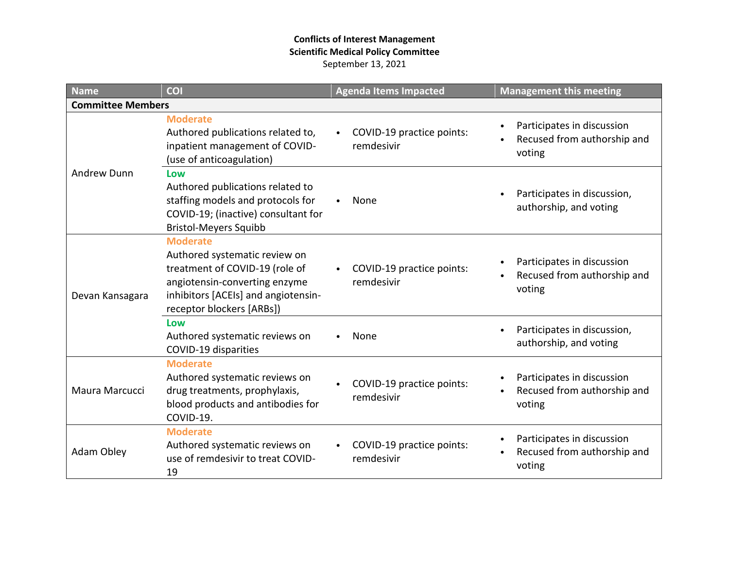### **Conflicts of Interest Management Scientific Medical Policy Committee** September 13, 2021

| <b>Name</b>              | <b>COI</b>                                                                                                                                                                              | <b>Agenda Items Impacted</b><br><b>Management this meeting</b> |                                                                                               |  |  |
|--------------------------|-----------------------------------------------------------------------------------------------------------------------------------------------------------------------------------------|----------------------------------------------------------------|-----------------------------------------------------------------------------------------------|--|--|
| <b>Committee Members</b> |                                                                                                                                                                                         |                                                                |                                                                                               |  |  |
| <b>Andrew Dunn</b>       | <b>Moderate</b><br>Authored publications related to,<br>inpatient management of COVID-<br>(use of anticoagulation)                                                                      | COVID-19 practice points:<br>remdesivir                        | Participates in discussion<br>$\bullet$<br>Recused from authorship and<br>voting              |  |  |
|                          | Low<br>Authored publications related to<br>staffing models and protocols for<br>COVID-19; (inactive) consultant for<br><b>Bristol-Meyers Squibb</b>                                     | None                                                           | Participates in discussion,<br>$\bullet$<br>authorship, and voting                            |  |  |
| Devan Kansagara          | <b>Moderate</b><br>Authored systematic review on<br>treatment of COVID-19 (role of<br>angiotensin-converting enzyme<br>inhibitors [ACEIs] and angiotensin-<br>receptor blockers [ARBs]) | COVID-19 practice points:<br>remdesivir                        | Participates in discussion<br>Recused from authorship and<br>voting                           |  |  |
|                          | Low<br>Authored systematic reviews on<br>COVID-19 disparities                                                                                                                           | None                                                           | Participates in discussion,<br>$\bullet$<br>authorship, and voting                            |  |  |
| Maura Marcucci           | <b>Moderate</b><br>Authored systematic reviews on<br>drug treatments, prophylaxis,<br>blood products and antibodies for<br>COVID-19.                                                    | COVID-19 practice points:<br>remdesivir                        | Participates in discussion<br>Recused from authorship and<br>voting                           |  |  |
| Adam Obley               | <b>Moderate</b><br>Authored systematic reviews on<br>use of remdesivir to treat COVID-<br>19                                                                                            | COVID-19 practice points:<br>remdesivir                        | Participates in discussion<br>$\bullet$<br>Recused from authorship and<br>$\bullet$<br>voting |  |  |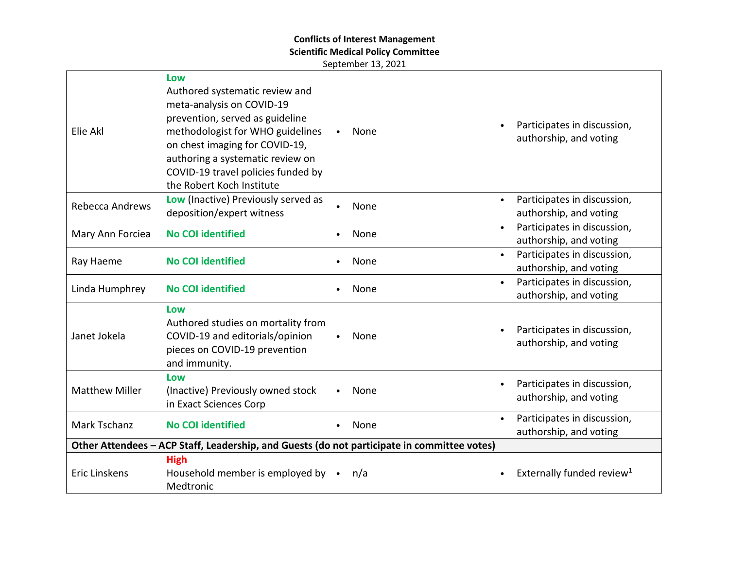# **Conflicts of Interest Management**

**Scientific Medical Policy Committee**

September 13, 2021

| Elie Akl                                                                                    | Low<br>Authored systematic review and<br>meta-analysis on COVID-19<br>prevention, served as guideline<br>methodologist for WHO guidelines<br>on chest imaging for COVID-19,<br>authoring a systematic review on<br>COVID-19 travel policies funded by<br>the Robert Koch Institute | $\bullet$ | None | Participates in discussion,<br>authorship, and voting              |
|---------------------------------------------------------------------------------------------|------------------------------------------------------------------------------------------------------------------------------------------------------------------------------------------------------------------------------------------------------------------------------------|-----------|------|--------------------------------------------------------------------|
| Rebecca Andrews                                                                             | Low (Inactive) Previously served as<br>deposition/expert witness                                                                                                                                                                                                                   |           | None | Participates in discussion,<br>$\bullet$<br>authorship, and voting |
| Mary Ann Forciea                                                                            | <b>No COI identified</b>                                                                                                                                                                                                                                                           |           | None | Participates in discussion,<br>$\bullet$<br>authorship, and voting |
| Ray Haeme                                                                                   | <b>No COI identified</b>                                                                                                                                                                                                                                                           |           | None | Participates in discussion,<br>$\bullet$<br>authorship, and voting |
| Linda Humphrey                                                                              | <b>No COI identified</b>                                                                                                                                                                                                                                                           |           | None | Participates in discussion,<br>$\bullet$<br>authorship, and voting |
| Janet Jokela                                                                                | Low<br>Authored studies on mortality from<br>COVID-19 and editorials/opinion<br>pieces on COVID-19 prevention<br>and immunity.                                                                                                                                                     |           | None | Participates in discussion,<br>authorship, and voting              |
| <b>Matthew Miller</b>                                                                       | Low<br>(Inactive) Previously owned stock<br>in Exact Sciences Corp                                                                                                                                                                                                                 |           | None | Participates in discussion,<br>$\bullet$<br>authorship, and voting |
| <b>Mark Tschanz</b>                                                                         | <b>No COI identified</b>                                                                                                                                                                                                                                                           |           | None | Participates in discussion,<br>$\bullet$<br>authorship, and voting |
| Other Attendees - ACP Staff, Leadership, and Guests (do not participate in committee votes) |                                                                                                                                                                                                                                                                                    |           |      |                                                                    |
| Eric Linskens                                                                               | <b>High</b><br>Household member is employed by •<br>Medtronic                                                                                                                                                                                                                      |           | n/a  | Externally funded review <sup>1</sup>                              |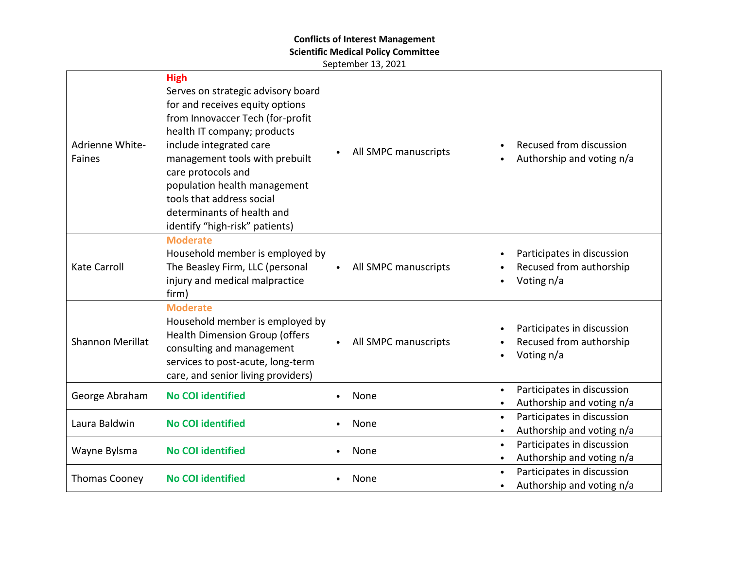## **Conflicts of Interest Management**

**Scientific Medical Policy Committee**

September 13, 2021

| Adrienne White-<br>Faines | <b>High</b><br>Serves on strategic advisory board<br>for and receives equity options<br>from Innovaccer Tech (for-profit<br>health IT company; products<br>include integrated care<br>management tools with prebuilt<br>care protocols and<br>population health management<br>tools that address social<br>determinants of health and<br>identify "high-risk" patients) | All SMPC manuscripts | $\bullet$              | Recused from discussion<br>Authorship and voting n/a                |
|---------------------------|-------------------------------------------------------------------------------------------------------------------------------------------------------------------------------------------------------------------------------------------------------------------------------------------------------------------------------------------------------------------------|----------------------|------------------------|---------------------------------------------------------------------|
| <b>Kate Carroll</b>       | <b>Moderate</b><br>Household member is employed by<br>The Beasley Firm, LLC (personal<br>injury and medical malpractice<br>firm)                                                                                                                                                                                                                                        | All SMPC manuscripts | $\bullet$<br>$\bullet$ | Participates in discussion<br>Recused from authorship<br>Voting n/a |
| <b>Shannon Merillat</b>   | <b>Moderate</b><br>Household member is employed by<br><b>Health Dimension Group (offers</b><br>consulting and management<br>services to post-acute, long-term<br>care, and senior living providers)                                                                                                                                                                     | All SMPC manuscripts | $\bullet$<br>٠         | Participates in discussion<br>Recused from authorship<br>Voting n/a |
| George Abraham            | <b>No COI identified</b>                                                                                                                                                                                                                                                                                                                                                | None                 | $\bullet$<br>$\bullet$ | Participates in discussion<br>Authorship and voting n/a             |
| Laura Baldwin             | <b>No COI identified</b>                                                                                                                                                                                                                                                                                                                                                | None                 | $\bullet$<br>$\bullet$ | Participates in discussion<br>Authorship and voting n/a             |
| Wayne Bylsma              | <b>No COI identified</b>                                                                                                                                                                                                                                                                                                                                                | None                 | $\bullet$<br>$\bullet$ | Participates in discussion<br>Authorship and voting n/a             |
| <b>Thomas Cooney</b>      | <b>No COI identified</b>                                                                                                                                                                                                                                                                                                                                                | None                 | $\bullet$<br>$\bullet$ | Participates in discussion<br>Authorship and voting n/a             |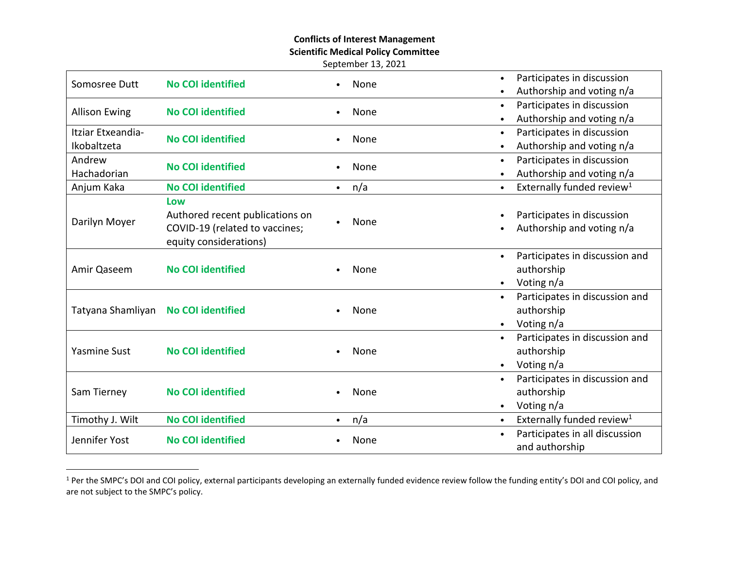#### **Conflicts of Interest Management**

**Scientific Medical Policy Committee**

September 13, 2021

| Somosree Dutt        | <b>No COI identified</b>        | None             | Participates in discussion<br>$\bullet$            |
|----------------------|---------------------------------|------------------|----------------------------------------------------|
|                      |                                 |                  | Authorship and voting n/a                          |
| <b>Allison Ewing</b> | <b>No COI identified</b>        | None             | Participates in discussion<br>$\bullet$            |
|                      |                                 |                  | Authorship and voting n/a                          |
| Itziar Etxeandia-    | <b>No COI identified</b>        | None             | Participates in discussion<br>$\bullet$            |
| Ikobaltzeta          |                                 |                  | Authorship and voting n/a<br>$\bullet$             |
| Andrew               | <b>No COI identified</b>        | None             | Participates in discussion<br>$\bullet$            |
| Hachadorian          |                                 |                  | Authorship and voting n/a                          |
| Anjum Kaka           | <b>No COI identified</b>        | n/a<br>$\bullet$ | Externally funded review <sup>1</sup><br>$\bullet$ |
|                      | Low                             |                  |                                                    |
| Darilyn Moyer        | Authored recent publications on | None             | Participates in discussion                         |
|                      | COVID-19 (related to vaccines;  |                  | Authorship and voting n/a                          |
|                      | equity considerations)          |                  |                                                    |
| Amir Qaseem          | <b>No COI identified</b>        |                  | Participates in discussion and                     |
|                      |                                 | None             | authorship                                         |
|                      |                                 |                  | Voting n/a<br>$\bullet$                            |
|                      | <b>No COI identified</b>        |                  | Participates in discussion and<br>$\bullet$        |
| Tatyana Shamliyan    |                                 | None             | authorship                                         |
|                      |                                 |                  | Voting n/a<br>$\bullet$                            |
|                      | <b>No COI identified</b>        |                  | Participates in discussion and                     |
| <b>Yasmine Sust</b>  |                                 | None             | authorship                                         |
|                      |                                 |                  | Voting n/a<br>$\bullet$                            |
| Sam Tierney          | <b>No COI identified</b>        |                  | Participates in discussion and<br>$\bullet$        |
|                      |                                 | None             | authorship                                         |
|                      |                                 |                  | Voting n/a<br>$\bullet$                            |
| Timothy J. Wilt      | <b>No COI identified</b>        | n/a<br>$\bullet$ | Externally funded review <sup>1</sup><br>$\bullet$ |
| Jennifer Yost        | <b>No COI identified</b>        | None             | Participates in all discussion<br>$\bullet$        |
|                      |                                 |                  | and authorship                                     |

<sup>&</sup>lt;sup>1</sup> Per the SMPC's DOI and COI policy, external participants developing an externally funded evidence review follow the funding entity's DOI and COI policy, and are not subject to the SMPC's policy.